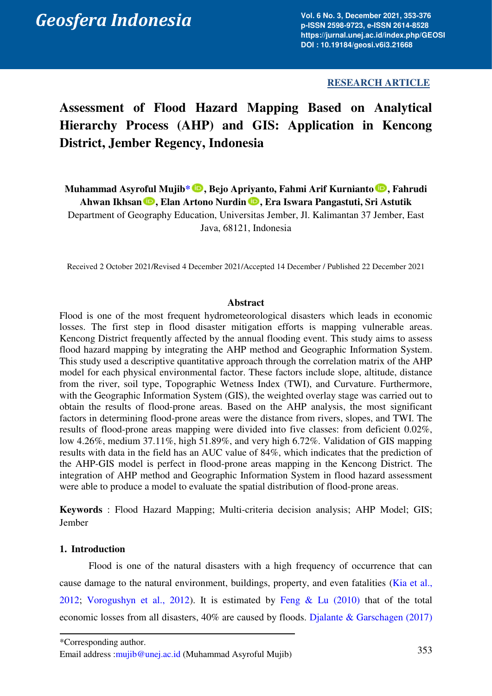# **RESEARCH ARTICLE**

# **Assessment of Flood Hazard Mapping Based on Analytical Hierarchy Process (AHP) and GIS: Application in Kencong District, Jember Regency, Indonesia**

**Muhammad Asyroful Muji[b\\*](#page-0-0) , Bejo Apriyanto, Fahmi Arif Kurnianto , Fahrudi**  Ahwan Ikhsan **D**, Elan Artono Nurdin **D**, Era Iswara Pangastuti, Sri Astutik Department of Geography Education, Universitas Jember, Jl. Kalimantan 37 Jember, East Java, 68121, Indonesia

Received 2 October 2021/Revised 4 December 2021/Accepted 14 December / Published 22 December 2021

## **Abstract**

Flood is one of the most frequent hydrometeorological disasters which leads in economic losses. The first step in flood disaster mitigation efforts is mapping vulnerable areas. Kencong District frequently affected by the annual flooding event. This study aims to assess flood hazard mapping by integrating the AHP method and Geographic Information System. This study used a descriptive quantitative approach through the correlation matrix of the AHP model for each physical environmental factor. These factors include slope, altitude, distance from the river, soil type, Topographic Wetness Index (TWI), and Curvature. Furthermore, with the Geographic Information System (GIS), the weighted overlay stage was carried out to obtain the results of flood-prone areas. Based on the AHP analysis, the most significant factors in determining flood-prone areas were the distance from rivers, slopes, and TWI. The results of flood-prone areas mapping were divided into five classes: from deficient 0.02%, low 4.26%, medium 37.11%, high 51.89%, and very high 6.72%. Validation of GIS mapping results with data in the field has an AUC value of 84%, which indicates that the prediction of the AHP-GIS model is perfect in flood-prone areas mapping in the Kencong District. The integration of AHP method and Geographic Information System in flood hazard assessment were able to produce a model to evaluate the spatial distribution of flood-prone areas.

**Keywords** : Flood Hazard Mapping; Multi-criteria decision analysis; AHP Model; GIS; Jember

## **1. Introduction**

<span id="page-0-0"></span>Flood is one of the natural disasters with a high frequency of occurrence that can cause damage to the natural environment, buildings, property, and even fatalities [\(Kia et al.,](#page-20-0)  2012; [Vorogushyn et al., 2012\)](#page-23-0). It is estimated by [Feng & Lu \(2010\)](#page-20-1) that of the total economic losses from all disasters, 40% are caused by floods. [Djalante & Garschagen \(2017\)](#page-20-2)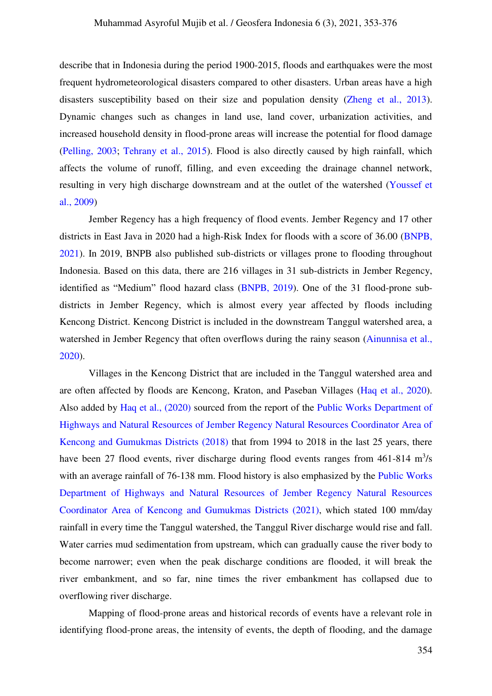describe that in Indonesia during the period 1900-2015, floods and earthquakes were the most frequent hydrometeorological disasters compared to other disasters. Urban areas have a high disasters susceptibility based on their size and population density [\(Zheng et al., 2013\).](#page-23-1) Dynamic changes such as changes in land use, land cover, urbanization activities, and increased household density in flood-prone areas will increase the potential for flood damage [\(Pelling, 2003;](#page-21-0) [Tehrany et al., 2015\)](#page-22-0). Flood is also directly caused by high rainfall, which affects the volume of runoff, filling, and even exceeding the drainage channel network, resulting in very high discharge downstream and at the outlet of the watershed [\(Youssef et](#page-23-2)  [al., 2009\)](#page-23-2)

Jember Regency has a high frequency of flood events. Jember Regency and 17 other districts in East Java in 2020 had a high-Risk Index for floods with a score of 36.00 [\(BNPB,](#page-19-0)  2021). In 2019, BNPB also published sub-districts or villages prone to flooding throughout Indonesia. Based on this data, there are 216 villages in 31 sub-districts in Jember Regency, identified as "Medium" flood hazard class [\(BNPB, 2019\)](#page-19-0). One of the 31 flood-prone subdistricts in Jember Regency, which is almost every year affected by floods including Kencong District. Kencong District is included in the downstream Tanggul watershed area, a watershed in Jember Regency that often overflows during the rainy season (Ainunnisa et al., 2020).

Villages in the Kencong District that are included in the Tanggul watershed area and are often affected by floods are Kencong, Kraton, and Paseban Villages [\(Haq et al., 2020\)](#page-20-3). Also added by [Haq et al., \(2020\)](#page-20-3) sourced from the report of the [Public Works Department of](#page-21-1)  [Highways and Natural Resources of Jember Regency Natural Resources Coordinator Area of](#page-21-1)  [Kencong and Gumukmas Districts \(2018\)](#page-21-1) that from 1994 to 2018 in the last 25 years, there have been 27 flood events, river discharge during flood events ranges from  $461-814$  m<sup>3</sup>/s with an average rainfall of 76-138 mm. Flood history is also emphasized by the Public Works [Department of Highways and Natural Resources of Jember Regency Natural Resources](#page-21-2)  [Coordinator Area of Kencong and Gumukmas Districts \(2021\),](#page-21-2) which stated 100 mm/day rainfall in every time the Tanggul watershed, the Tanggul River discharge would rise and fall. Water carries mud sedimentation from upstream, which can gradually cause the river body to become narrower; even when the peak discharge conditions are flooded, it will break the river embankment, and so far, nine times the river embankment has collapsed due to overflowing river discharge.

Mapping of flood-prone areas and historical records of events have a relevant role in identifying flood-prone areas, the intensity of events, the depth of flooding, and the damage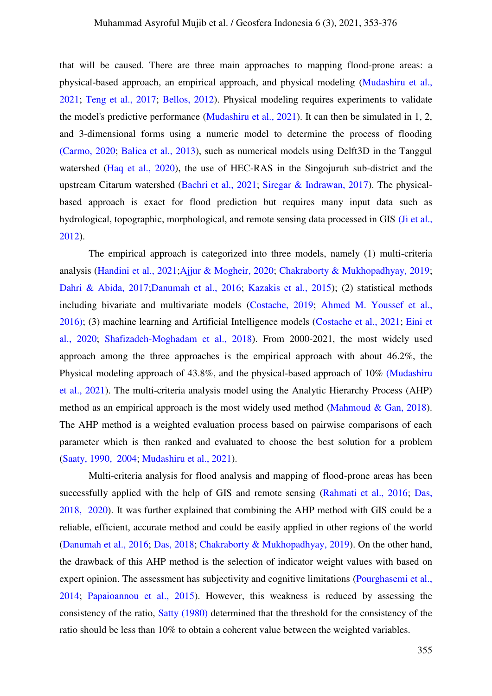that will be caused. There are three main approaches to mapping flood-prone areas: a physical-based approach, an empirical approach, and physical modeling [\(Mudashiru et al.,](#page-21-3)  2021; [Teng et al., 2017;](#page-22-1) [Bellos, 2012\)](#page-18-1). Physical modeling requires experiments to validate the model's predictive performance [\(Mudashiru et al., 2021\)](#page-21-3). It can then be simulated in 1, 2, and 3-dimensional forms using a numeric model to determine the process of flooding [\(Carmo, 2020;](#page-19-1) [Balica et al., 2013\)](#page-18-2), such as numerical models using Delft3D in the Tanggul watershed [\(Haq et al., 2020\)](#page-20-3), the use of HEC-RAS in the Singojuruh sub-district and the upstream Citarum watershed [\(Bachri et al., 2021;](#page-18-3) [Siregar & Indrawan, 2017\).](#page-22-2) The physicalbased approach is exact for flood prediction but requires many input data such as hydrological, topographic, morphological, and remote sensing data processed in GIS (Ji et al., [2012\)](#page-20-4).

The empirical approach is categorized into three models, namely (1) multi-criteria analysis [\(Handini et al., 2021;](#page-20-5)[Ajjur & Mogheir, 2020;](#page-18-4) [Chakraborty & Mukhopadhyay, 2019;](#page-19-2) [Dahri & Abida, 2017;](#page-19-3)[Danumah et al., 2016;](#page-19-4) [Kazakis et al., 2015\)](#page-20-6); (2) statistical methods including bivariate and multivariate models [\(Costache, 2019;](#page-19-5) [Ahmed M. Youssef et al.,](#page-23-2)  2016); (3) machine learning and Artificial Intelligence models [\(Costache et al., 2021;](#page-19-5) [Eini et](#page-20-7)  al., 2020; [Shafizadeh-Moghadam et al., 2018\).](#page-22-3) From 2000-2021, the most widely used approach among the three approaches is the empirical approach with about 46.2%, the Physical modeling approach of 43.8%, and the physical-based approach of 10% [\(Mudashiru](#page-21-3)  [et al., 2021\)](#page-21-3). The multi-criteria analysis model using the Analytic Hierarchy Process (AHP) method as an empirical approach is the most widely used method (Mahmoud  $\&$  Gan, 2018). The AHP method is a weighted evaluation process based on pairwise comparisons of each parameter which is then ranked and evaluated to choose the best solution for a problem [\(Saaty, 1990, 2004;](#page-21-5) [Mudashiru et al., 2021\)](#page-21-3).

Multi-criteria analysis for flood analysis and mapping of flood-prone areas has been successfully applied with the help of GIS and remote sensing [\(Rahmati et al., 2016;](#page-21-6) [Das,](#page-19-6)  2018, 2020). It was further explained that combining the AHP method with GIS could be a reliable, efficient, accurate method and could be easily applied in other regions of the world [\(Danumah et al., 2016;](#page-19-4) [Das, 2018;](#page-19-6) [Chakraborty & Mukhopadhyay, 2019\).](#page-19-2) On the other hand, the drawback of this AHP method is the selection of indicator weight values with based on expert opinion. The assessment has subjectivity and cognitive limitations (Pourghasemi et al., 2014; [Papaioannou et al., 2015\).](#page-21-8) However, this weakness is reduced by assessing the consistency of the ratio, [Satty \(1980\)](#page-22-4) determined that the threshold for the consistency of the ratio should be less than 10% to obtain a coherent value between the weighted variables.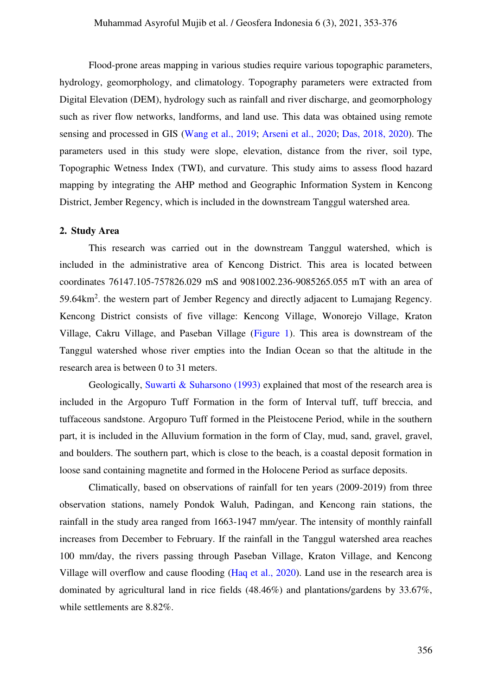Flood-prone areas mapping in various studies require various topographic parameters, hydrology, geomorphology, and climatology. Topography parameters were extracted from Digital Elevation (DEM), hydrology such as rainfall and river discharge, and geomorphology such as river flow networks, landforms, and land use. This data was obtained using remote sensing and processed in GIS [\(Wang et al., 2019;](#page-23-3) [Arseni et al., 2020;](#page-18-5) [Das, 2018, 2020\).](#page-19-6) The parameters used in this study were slope, elevation, distance from the river, soil type, Topographic Wetness Index (TWI), and curvature. This study aims to assess flood hazard mapping by integrating the AHP method and Geographic Information System in Kencong District, Jember Regency, which is included in the downstream Tanggul watershed area.

# **2. Study Area**

This research was carried out in the downstream Tanggul watershed, which is included in the administrative area of Kencong District. This area is located between coordinates 76147.105-757826.029 mS and 9081002.236-9085265.055 mT with an area of 59.64km<sup>2</sup>. the western part of Jember Regency and directly adjacent to Lumajang Regency. Kencong District consists of five village: Kencong Village, Wonorejo Village, Kraton Village, Cakru Village, and Paseban Village [\(Figure 1\)](#page-4-0). This area is downstream of the Tanggul watershed whose river empties into the Indian Ocean so that the altitude in the research area is between 0 to 31 meters.

Geologically, [Suwarti & Suharsono \(1993\)](#page-22-5) explained that most of the research area is included in the Argopuro Tuff Formation in the form of Interval tuff, tuff breccia, and tuffaceous sandstone. Argopuro Tuff formed in the Pleistocene Period, while in the southern part, it is included in the Alluvium formation in the form of Clay, mud, sand, gravel, gravel, and boulders. The southern part, which is close to the beach, is a coastal deposit formation in loose sand containing magnetite and formed in the Holocene Period as surface deposits.

Climatically, based on observations of rainfall for ten years (2009-2019) from three observation stations, namely Pondok Waluh, Padingan, and Kencong rain stations, the rainfall in the study area ranged from 1663-1947 mm/year. The intensity of monthly rainfall increases from December to February. If the rainfall in the Tanggul watershed area reaches 100 mm/day, the rivers passing through Paseban Village, Kraton Village, and Kencong Village will overflow and cause flooding [\(Haq et al., 2020\)](#page-20-3). Land use in the research area is dominated by agricultural land in rice fields (48.46%) and plantations/gardens by 33.67%, while settlements are 8.82%.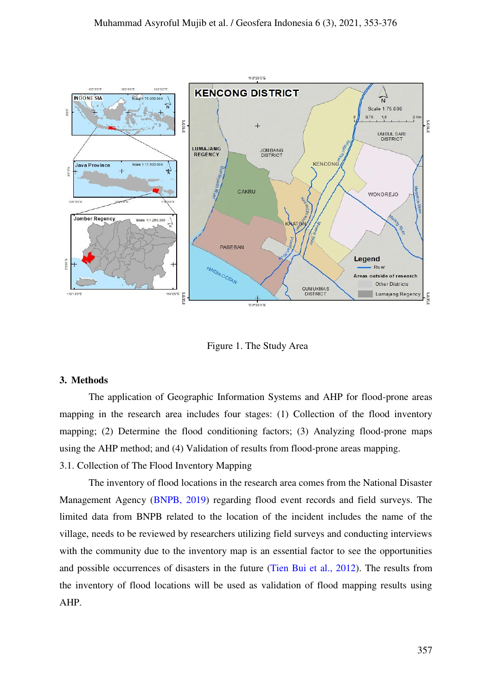

Figure 1. The Study Area

#### <span id="page-4-0"></span>**3. Methods**

The application of Geographic Information Systems and AHP for flood-prone areas mapping in the research area includes four stages: (1) Collection of the flood inventory mapping; (2) Determine the flood conditioning factors; (3) Analyzing flood-prone maps using the AHP method; and (4) Validation of results from flood-prone areas mapping. 3.1. Collection of The Flood Inventory Mapping

The inventory of flood locations in the research area comes from the National Disaster Management Agency [\(BNPB, 2019\)](#page-19-0) regarding flood event records and field surveys. The limited data from BNPB related to the location of the incident includes the name of the village, needs to be reviewed by researchers utilizing field surveys and conducting interviews with the community due to the inventory map is an essential factor to see the opportunities and possible occurrences of disasters in the future [\(Tien Bui et al., 2012\)](#page-22-6). The results from the inventory of flood locations will be used as validation of flood mapping results using AHP.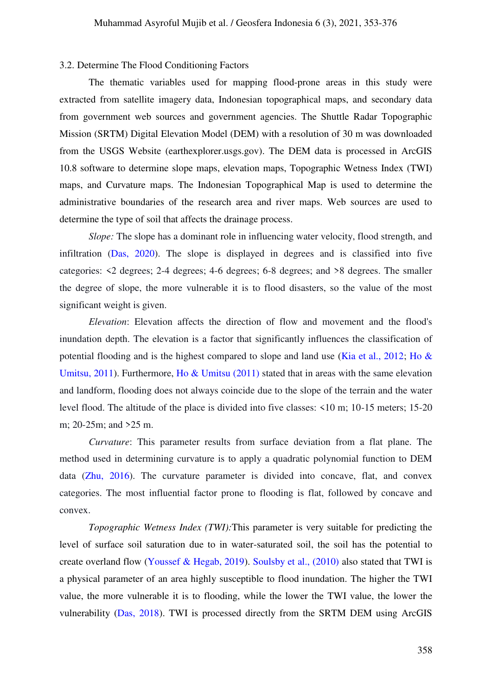#### 3.2. Determine The Flood Conditioning Factors

The thematic variables used for mapping flood-prone areas in this study were extracted from satellite imagery data, Indonesian topographical maps, and secondary data from government web sources and government agencies. The Shuttle Radar Topographic Mission (SRTM) Digital Elevation Model (DEM) with a resolution of 30 m was downloaded from the USGS Website (earthexplorer.usgs.gov). The DEM data is processed in ArcGIS 10.8 software to determine slope maps, elevation maps, Topographic Wetness Index (TWI) maps, and Curvature maps. The Indonesian Topographical Map is used to determine the administrative boundaries of the research area and river maps. Web sources are used to determine the type of soil that affects the drainage process.

*Slope:* The slope has a dominant role in influencing water velocity, flood strength, and infiltration [\(Das, 2020\)](#page-19-6). The slope is displayed in degrees and is classified into five categories: <2 degrees; 2-4 degrees; 4-6 degrees; 6-8 degrees; and >8 degrees. The smaller the degree of slope, the more vulnerable it is to flood disasters, so the value of the most significant weight is given.

*Elevation*: Elevation affects the direction of flow and movement and the flood's inundation depth. The elevation is a factor that significantly influences the classification of potential flooding and is the highest compared to slope and land use [\(Kia et al., 2012;](#page-20-0) Ho  $\&$ Umitsu, 2011). Furthermore, [Ho & Umitsu \(2011\)](#page-20-8) stated that in areas with the same elevation and landform, flooding does not always coincide due to the slope of the terrain and the water level flood. The altitude of the place is divided into five classes: <10 m; 10-15 meters; 15-20 m; 20-25m; and >25 m.

*Curvature*: This parameter results from surface deviation from a flat plane. The method used in determining curvature is to apply a quadratic polynomial function to DEM data [\(Zhu, 2016\)](#page-23-4). The curvature parameter is divided into concave, flat, and convex categories. The most influential factor prone to flooding is flat, followed by concave and convex.

*Topographic Wetness Index (TWI):*This parameter is very suitable for predicting the level of surface soil saturation due to in water-saturated soil, the soil has the potential to create overland flow [\(Youssef & Hegab, 2019\)](#page-23-2). [Soulsby et al., \(2010\)](#page-22-7) also stated that TWI is a physical parameter of an area highly susceptible to flood inundation. The higher the TWI value, the more vulnerable it is to flooding, while the lower the TWI value, the lower the vulnerability [\(Das, 2018\)](#page-19-6). TWI is processed directly from the SRTM DEM using ArcGIS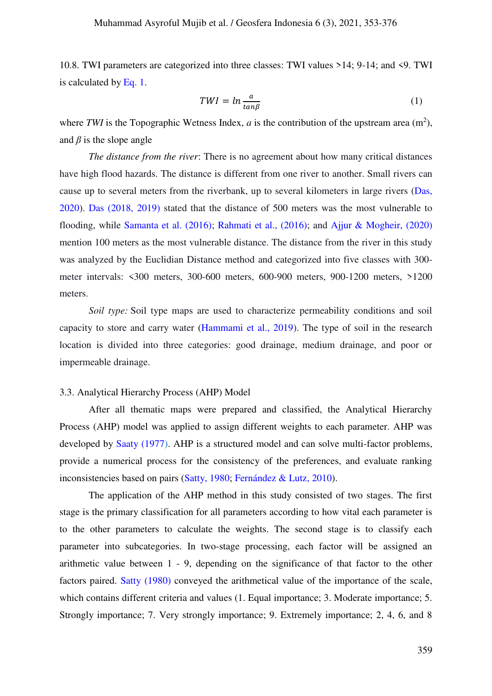10.8. TWI parameters are categorized into three classes: TWI values >14; 9-14; and <9. TWI is calculated by [Eq. 1.](#page-6-0)

<span id="page-6-0"></span>
$$
TWI = ln \frac{a}{\tan \beta} \tag{1}
$$

where TWI is the Topographic Wetness Index,  $a$  is the contribution of the upstream area  $(m^2)$ , and  $\beta$  is the slope angle

*The distance from the river*: There is no agreement about how many critical distances have high flood hazards. The distance is different from one river to another. Small rivers can cause up to several meters from the riverbank, up to several kilometers in large rivers [\(Das,](#page-19-6)  [2020\)](#page-19-6). [Das \(2018, 2019\)](#page-19-6) stated that the distance of 500 meters was the most vulnerable to flooding, while [Samanta et al. \(2016\);](#page-22-8) [Rahmati et al., \(2016\);](#page-21-6) and [Ajjur & Mogheir, \(2020\)](#page-18-4) mention 100 meters as the most vulnerable distance. The distance from the river in this study was analyzed by the Euclidian Distance method and categorized into five classes with 300 meter intervals: <300 meters, 300-600 meters, 600-900 meters, 900-1200 meters, >1200 meters.

*Soil type:* Soil type maps are used to characterize permeability conditions and soil capacity to store and carry water [\(Hammami et al., 2019\)](#page-20-9). The type of soil in the research location is divided into three categories: good drainage, medium drainage, and poor or impermeable drainage.

#### 3.3. Analytical Hierarchy Process (AHP) Model

After all thematic maps were prepared and classified, the Analytical Hierarchy Process (AHP) model was applied to assign different weights to each parameter. AHP was developed by [Saaty \(1977\)](#page-21-5). AHP is a structured model and can solve multi-factor problems, provide a numerical process for the consistency of the preferences, and evaluate ranking inconsistencies based on pairs [\(Satty, 1980;](#page-22-4) [Fernández & Lutz, 2010\)](#page-20-10).

The application of the AHP method in this study consisted of two stages. The first stage is the primary classification for all parameters according to how vital each parameter is to the other parameters to calculate the weights. The second stage is to classify each parameter into subcategories. In two-stage processing, each factor will be assigned an arithmetic value between 1 - 9, depending on the significance of that factor to the other factors paired. [Satty](#page-22-4) [\(1980\)](#page-22-4) conveyed the arithmetical value of the importance of the scale, which contains different criteria and values (1. Equal importance; 3. Moderate importance; 5. Strongly importance; 7. Very strongly importance; 9. Extremely importance; 2, 4, 6, and 8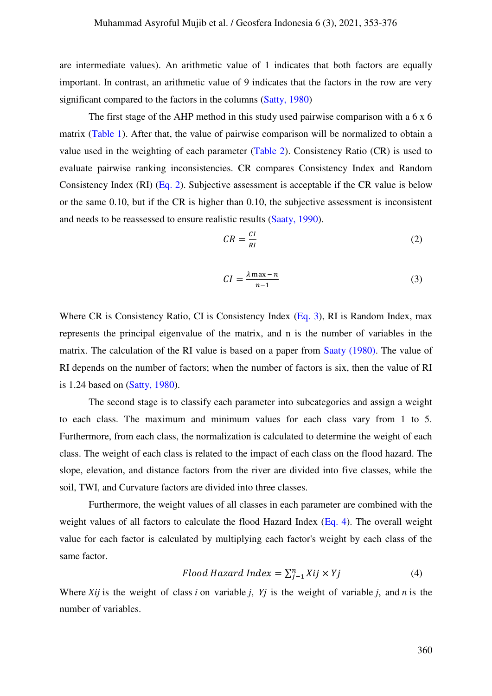are intermediate values). An arithmetic value of 1 indicates that both factors are equally important. In contrast, an arithmetic value of 9 indicates that the factors in the row are very significant compared to the factors in the columns [\(Satty, 1980\)](#page-22-4) 

The first stage of the AHP method in this study used pairwise comparison with a 6 x 6 matrix [\(Table 1\)](#page-12-0). After that, the value of pairwise comparison will be normalized to obtain a value used in the weighting of each parameter [\(Table 2\)](#page-12-1). Consistency Ratio (CR) is used to evaluate pairwise ranking inconsistencies. CR compares Consistency Index and Random Consistency Index (RI) [\(Eq. 2\)](#page-7-0). Subjective assessment is acceptable if the CR value is below or the same 0.10, but if the CR is higher than 0.10, the subjective assessment is inconsistent and needs to be reassessed to ensure realistic results [\(Saaty, 1990\)](#page-21-5).

<span id="page-7-0"></span>
$$
CR = \frac{CI}{RI} \tag{2}
$$

<span id="page-7-1"></span>
$$
CI = \frac{\lambda \max - n}{n - 1} \tag{3}
$$

Where CR is Consistency Ratio, CI is Consistency Index [\(Eq. 3\)](#page-7-1), RI is Random Index, max represents the principal eigenvalue of the matrix, and n is the number of variables in the matrix. The calculation of the RI value is based on a paper from [Saaty \(1980\).](#page-21-5) The value of RI depends on the number of factors; when the number of factors is six, then the value of RI is 1.24 based on [\(Satty, 1980\)](#page-22-4).

The second stage is to classify each parameter into subcategories and assign a weight to each class. The maximum and minimum values for each class vary from 1 to 5. Furthermore, from each class, the normalization is calculated to determine the weight of each class. The weight of each class is related to the impact of each class on the flood hazard. The slope, elevation, and distance factors from the river are divided into five classes, while the soil, TWI, and Curvature factors are divided into three classes.

Furthermore, the weight values of all classes in each parameter are combined with the weight values of all factors to calculate the flood Hazard Index [\(Eq. 4\)](#page-7-2). The overall weight value for each factor is calculated by multiplying each factor's weight by each class of the same factor.

<span id="page-7-2"></span>
$$
Flood \ Hazard \ Index = \sum_{j=1}^{n} Xij \times Yj \tag{4}
$$

Where *Xij* is the weight of class *i* on variable *j*, *Yj* is the weight of variable *j*, and *n* is the number of variables.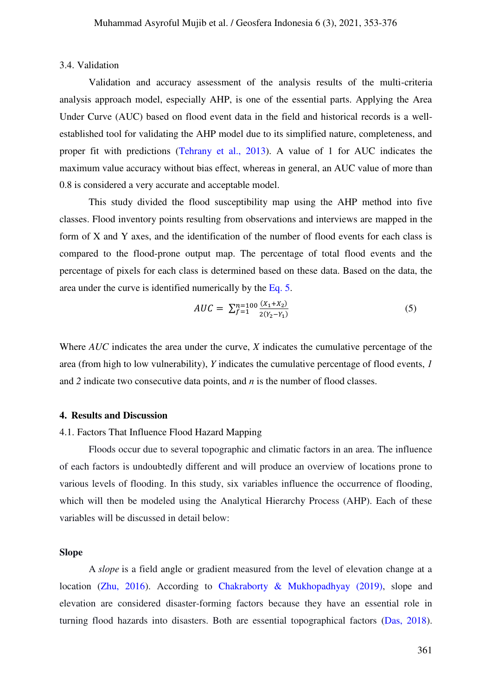#### 3.4. Validation

Validation and accuracy assessment of the analysis results of the multi-criteria analysis approach model, especially AHP, is one of the essential parts. Applying the Area Under Curve (AUC) based on flood event data in the field and historical records is a wellestablished tool for validating the AHP model due to its simplified nature, completeness, and proper fit with predictions [\(Tehrany et al., 2013\)](#page-22-0). A value of 1 for AUC indicates the maximum value accuracy without bias effect, whereas in general, an AUC value of more than 0.8 is considered a very accurate and acceptable model.

This study divided the flood susceptibility map using the AHP method into five classes. Flood inventory points resulting from observations and interviews are mapped in the form of X and Y axes, and the identification of the number of flood events for each class is compared to the flood-prone output map. The percentage of total flood events and the percentage of pixels for each class is determined based on these data. Based on the data, the area under the curve is identified numerically by the [Eq. 5.](#page-8-0)

<span id="page-8-0"></span>
$$
AUC = \sum_{f=1}^{n=100} \frac{(X_1 + X_2)}{2(Y_2 - Y_1)}
$$
(5)

Where *AUC* indicates the area under the curve, *X* indicates the cumulative percentage of the area (from high to low vulnerability), *Y* indicates the cumulative percentage of flood events, *1* and *2* indicate two consecutive data points, and *n* is the number of flood classes.

#### **4. Results and Discussion**

## 4.1. Factors That Influence Flood Hazard Mapping

Floods occur due to several topographic and climatic factors in an area. The influence of each factors is undoubtedly different and will produce an overview of locations prone to various levels of flooding. In this study, six variables influence the occurrence of flooding, which will then be modeled using the Analytical Hierarchy Process (AHP). Each of these variables will be discussed in detail below:

#### **Slope**

A *slope* is a field angle or gradient measured from the level of elevation change at a location [\(Zhu, 2016\)](#page-23-4). According to [Chakraborty & Mukhopadhyay \(2019\),](#page-19-2) slope and elevation are considered disaster-forming factors because they have an essential role in turning flood hazards into disasters. Both are essential topographical factors [\(Das, 2018\)](#page-19-6).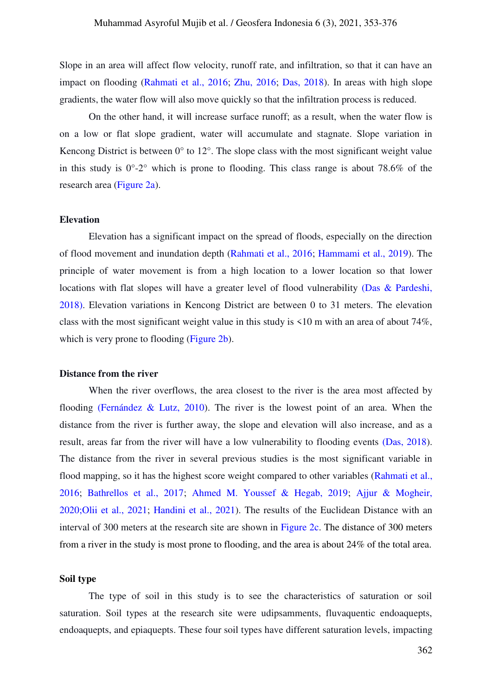Slope in an area will affect flow velocity, runoff rate, and infiltration, so that it can have an impact on flooding [\(Rahmati et al., 2016;](#page-21-6) [Zhu, 2016;](#page-23-4) [Das, 2018\)](#page-19-6). In areas with high slope gradients, the water flow will also move quickly so that the infiltration process is reduced.

On the other hand, it will increase surface runoff; as a result, when the water flow is on a low or flat slope gradient, water will accumulate and stagnate. Slope variation in Kencong District is between  $0^{\circ}$  to  $12^{\circ}$ . The slope class with the most significant weight value in this study is  $0^{\circ}$ -2° which is prone to flooding. This class range is about 78.6% of the research area [\(Figure 2a\)](#page-11-0).

## **Elevation**

Elevation has a significant impact on the spread of floods, especially on the direction of flood movement and inundation depth [\(Rahmati et al., 2016;](#page-21-6) [Hammami et al., 2019\)](#page-20-9). The principle of water movement is from a high location to a lower location so that lower locations with flat slopes will have a greater level of flood vulnerability [\(Das & Pardeshi,](#page-19-6)  2018). Elevation variations in Kencong District are between 0 to 31 meters. The elevation class with the most significant weight value in this study is <10 m with an area of about 74%, which is very prone to flooding [\(Figure 2b\)](#page-11-0).

#### **Distance from the river**

When the river overflows, the area closest to the river is the area most affected by flooding [\(Fernández & Lutz, 2010\)](#page-20-10). The river is the lowest point of an area. When the distance from the river is further away, the slope and elevation will also increase, and as a result, areas far from the river will have a low vulnerability to flooding events [\(Das, 2018\)](#page-19-6). The distance from the river in several previous studies is the most significant variable in flood mapping, so it has the highest score weight compared to other variables [\(Rahmati et al.,](#page-21-6)  [2016;](#page-21-6) [Bathrellos et al., 2017;](#page-18-6) [Ahmed M. Youssef & Hegab, 2019;](#page-23-2) [Ajjur & Mogheir,](#page-18-4)  2020[;Olii et al., 2021;](#page-21-9) [Handini et al., 2021\)](#page-20-5). The results of the Euclidean Distance with an interval of 300 meters at the research site are shown in [Figure 2c.](#page-11-0) The distance of 300 meters from a river in the study is most prone to flooding, and the area is about 24% of the total area.

# **Soil type**

The type of soil in this study is to see the characteristics of saturation or soil saturation. Soil types at the research site were udipsamments, fluvaquentic endoaquepts, endoaquepts, and epiaquepts. These four soil types have different saturation levels, impacting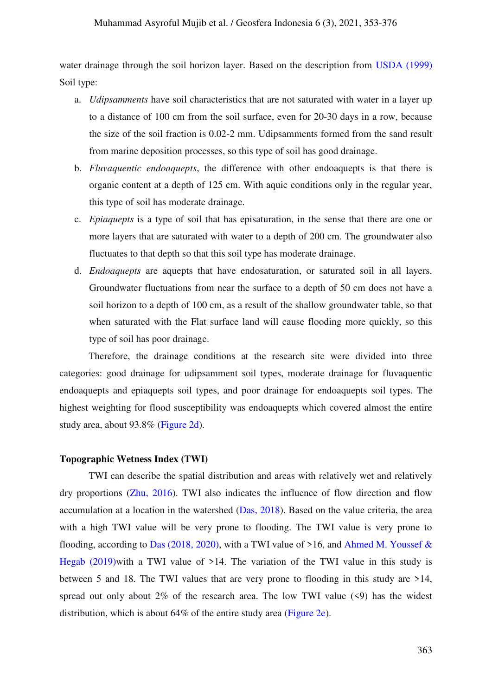## Muhammad Asyroful Mujib et al. / Geosfera Indonesia 6 (3), 2021, 353-376

water drainage through the soil horizon layer. Based on the description from [USDA \(1999\)](#page-23-5) Soil type:

- a. *Udipsamments* have soil characteristics that are not saturated with water in a layer up to a distance of 100 cm from the soil surface, even for 20-30 days in a row, because the size of the soil fraction is 0.02-2 mm. Udipsamments formed from the sand result from marine deposition processes, so this type of soil has good drainage.
- b. *Fluvaquentic endoaquepts*, the difference with other endoaquepts is that there is organic content at a depth of 125 cm. With aquic conditions only in the regular year, this type of soil has moderate drainage.
- c. *Epiaquepts* is a type of soil that has episaturation, in the sense that there are one or more layers that are saturated with water to a depth of 200 cm. The groundwater also fluctuates to that depth so that this soil type has moderate drainage.
- d. *Endoaquepts* are aquepts that have endosaturation, or saturated soil in all layers. Groundwater fluctuations from near the surface to a depth of 50 cm does not have a soil horizon to a depth of 100 cm, as a result of the shallow groundwater table, so that when saturated with the Flat surface land will cause flooding more quickly, so this type of soil has poor drainage.

Therefore, the drainage conditions at the research site were divided into three categories: good drainage for udipsamment soil types, moderate drainage for fluvaquentic endoaquepts and epiaquepts soil types, and poor drainage for endoaquepts soil types. The highest weighting for flood susceptibility was endoaquepts which covered almost the entire study area, about 93.8% [\(Figure 2d\)](#page-11-0).

#### **Topographic Wetness Index (TWI)**

TWI can describe the spatial distribution and areas with relatively wet and relatively dry proportions [\(Zhu, 2016\)](#page-23-4). TWI also indicates the influence of flow direction and flow accumulation at a location in the watershed [\(Das, 2018\)](#page-19-6). Based on the value criteria, the area with a high TWI value will be very prone to flooding. The TWI value is very prone to flooding, according to [Das \(2018, 2020\),](#page-19-6) with a TWI value of  $>16$ , and Ahmed M. Youssef & Hegab (2019) with a TWI value of  $>14$ . The variation of the TWI value in this study is between 5 and 18. The TWI values that are very prone to flooding in this study are >14, spread out only about  $2\%$  of the research area. The low TWI value  $(\leq 9)$  has the widest distribution, which is about 64% of the entire study area [\(Figure 2e\)](#page-11-0).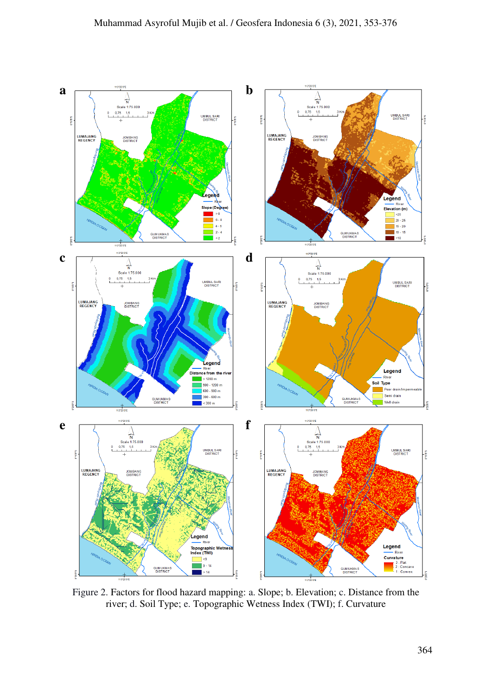

<span id="page-11-0"></span>Figure 2. Factors for flood hazard mapping: a. Slope; b. Elevation; c. Distance from the river; d. Soil Type; e. Topographic Wetness Index (TWI); f. Curvature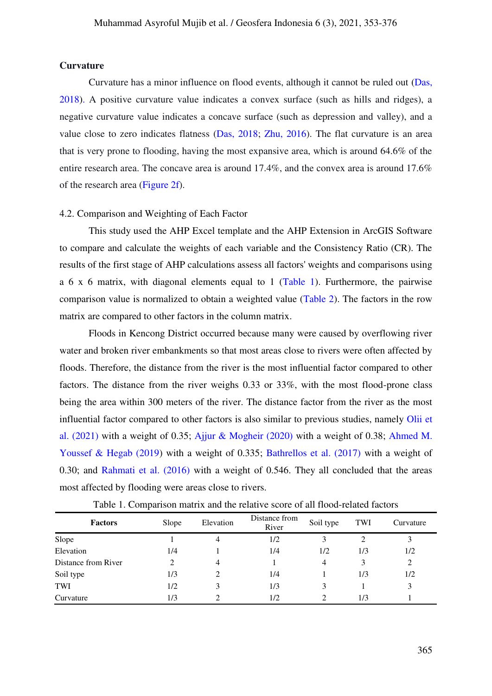#### **Curvature**

Curvature has a minor influence on flood events, although it cannot be ruled out [\(Das,](#page-19-6)  2018). A positive curvature value indicates a convex surface (such as hills and ridges), a negative curvature value indicates a concave surface (such as depression and valley), and a value close to zero indicates flatness [\(Das, 2018;](#page-19-6) [Zhu, 2016\)](#page-23-4). The flat curvature is an area that is very prone to flooding, having the most expansive area, which is around 64.6% of the entire research area. The concave area is around 17.4%, and the convex area is around 17.6% of the research area [\(Figure 2f\)](#page-11-0).

## 4.2. Comparison and Weighting of Each Factor

This study used the AHP Excel template and the AHP Extension in ArcGIS Software to compare and calculate the weights of each variable and the Consistency Ratio (CR). The results of the first stage of AHP calculations assess all factors' weights and comparisons using a 6 x 6 matrix, with diagonal elements equal to 1 [\(Table 1\)](#page-12-0). Furthermore, the pairwise comparison value is normalized to obtain a weighted value [\(Table 2\)](#page-12-1). The factors in the row matrix are compared to other factors in the column matrix.

Floods in Kencong District occurred because many were caused by overflowing river water and broken river embankments so that most areas close to rivers were often affected by floods. Therefore, the distance from the river is the most influential factor compared to other factors. The distance from the river weighs 0.33 or 33%, with the most flood-prone class being the area within 300 meters of the river. The distance factor from the river as the most influential factor compared to other factors is also similar to previous studies, namely [Olii et](#page-21-9)  al. (2021) with a weight of 0.35; [Ajjur & Mogheir \(2020\)](#page-18-4) with a weight of 0.38; [Ahmed M.](#page-23-2)  [Youssef & Hegab \(2019\)](#page-23-2) with a weight of 0.335; [Bathrellos et al. \(2017\)](#page-18-6) with a weight of 0.30; and [Rahmati et al. \(2016\)](#page-21-6) with a weight of 0.546. They all concluded that the areas most affected by flooding were areas close to rivers.

<span id="page-12-1"></span><span id="page-12-0"></span>

| <b>Factors</b>      | Slope | Elevation | Distance from<br>River | Soil type | TWI | Curvature |
|---------------------|-------|-----------|------------------------|-----------|-----|-----------|
| Slope               |       | 4         | 1/2                    |           |     |           |
| Elevation           | 1/4   |           | 1/4                    | 1/2       | 1/3 | 1/2       |
| Distance from River | 2     | 4         |                        | 4         | 3   | 2         |
| Soil type           | 1/3   |           | 1/4                    |           | 1/3 | 1/2       |
| TWI                 | 1/2   | 3         | 1/3                    |           |     | 3         |
| Curvature           | 1/3   |           | 1/2                    | C         | 1/3 |           |

Table 1. Comparison matrix and the relative score of all flood-related factors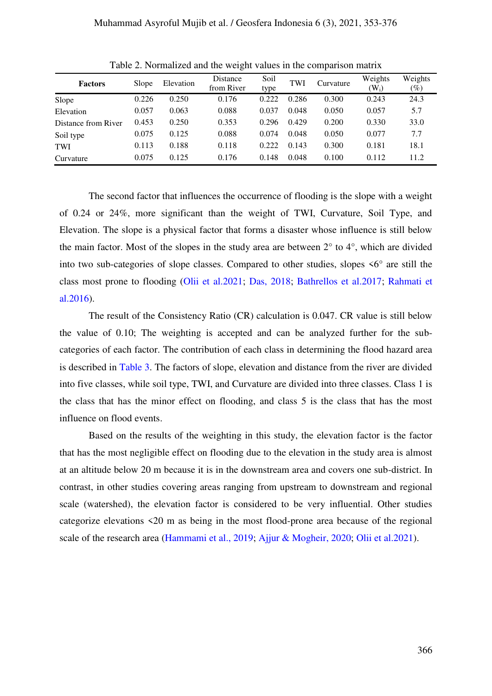| <b>Factors</b>      | Slope | Elevation | Distance<br>from River | Soil<br>type | TWI   | Curvature | Weights<br>$\rm(W_i)$ | Weights<br>$(\%)$ |
|---------------------|-------|-----------|------------------------|--------------|-------|-----------|-----------------------|-------------------|
| Slope               | 0.226 | 0.250     | 0.176                  | 0.222        | 0.286 | 0.300     | 0.243                 | 24.3              |
| Elevation           | 0.057 | 0.063     | 0.088                  | 0.037        | 0.048 | 0.050     | 0.057                 | 5.7               |
| Distance from River | 0.453 | 0.250     | 0.353                  | 0.296        | 0.429 | 0.200     | 0.330                 | 33.0              |
| Soil type           | 0.075 | 0.125     | 0.088                  | 0.074        | 0.048 | 0.050     | 0.077                 | 7.7               |
| TWI                 | 0.113 | 0.188     | 0.118                  | 0.222        | 0.143 | 0.300     | 0.181                 | 18.1              |
| Curvature           | 0.075 | 0.125     | 0.176                  | 0.148        | 0.048 | 0.100     | 0.112                 | 11.2              |

Table 2. Normalized and the weight values in the comparison matrix

The second factor that influences the occurrence of flooding is the slope with a weight of 0.24 or 24%, more significant than the weight of TWI, Curvature, Soil Type, and Elevation. The slope is a physical factor that forms a disaster whose influence is still below the main factor. Most of the slopes in the study area are between 2° to 4°, which are divided into two sub-categories of slope classes. Compared to other studies, slopes  $\leq 6^\circ$  are still the class most prone to flooding [\(Olii et al.2021;](#page-21-9) [Das, 2018;](#page-19-6) [Bathrellos et al.2017;](#page-18-6) [Rahmati et](#page-21-6)  al.2016).

The result of the Consistency Ratio (CR) calculation is 0.047. CR value is still below the value of 0.10; The weighting is accepted and can be analyzed further for the subcategories of each factor. The contribution of each class in determining the flood hazard area is described in [Table 3.](#page-14-0) The factors of slope, elevation and distance from the river are divided into five classes, while soil type, TWI, and Curvature are divided into three classes. Class 1 is the class that has the minor effect on flooding, and class 5 is the class that has the most influence on flood events.

Based on the results of the weighting in this study, the elevation factor is the factor that has the most negligible effect on flooding due to the elevation in the study area is almost at an altitude below 20 m because it is in the downstream area and covers one sub-district. In contrast, in other studies covering areas ranging from upstream to downstream and regional scale (watershed), the elevation factor is considered to be very influential. Other studies categorize elevations <20 m as being in the most flood-prone area because of the regional scale of the research area [\(Hammami et al., 2019;](#page-20-9) [Ajjur & Mogheir, 2020;](#page-18-4) [Olii et al.2021\)](#page-21-9).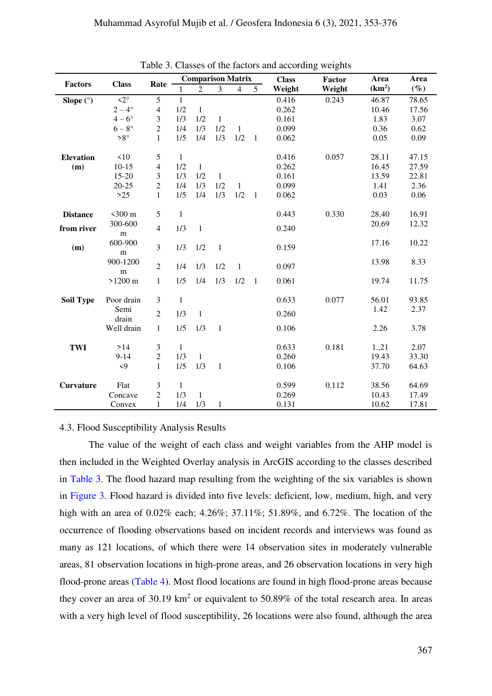<span id="page-14-0"></span>

|                  | <b>Class</b>           |                  | <b>Comparison Matrix</b> |                |              |                |                | <b>Class</b> | <b>Factor</b> | Area               | Area   |
|------------------|------------------------|------------------|--------------------------|----------------|--------------|----------------|----------------|--------------|---------------|--------------------|--------|
| <b>Factors</b>   |                        | Rate             |                          | $\overline{2}$ | 3            | $\overline{4}$ | 5 <sup>1</sup> | Weight       | Weight        | (km <sup>2</sup> ) | $(\%)$ |
| Slope $(°)$      | $\overline{2^{\circ}}$ | 5                | $\mathbf{1}$             |                |              |                |                | 0.416        | 0.243         | 46.87              | 78.65  |
|                  | $2-4^\circ$            | $\overline{4}$   | 1/2                      | $\mathbf{1}$   |              |                |                | 0.262        |               | 10.46              | 17.56  |
|                  | $4-6^\circ$            | $\mathfrak{Z}$   | 1/3                      | 1/2            | $\mathbf{1}$ |                |                | 0.161        |               | 1.83               | 3.07   |
|                  | $6-8^\circ$            | $\boldsymbol{2}$ | 1/4                      | 1/3            | 1/2          | $\mathbf{1}$   |                | 0.099        |               | 0.36               | 0.62   |
|                  | $>8^{\circ}$           | $\mathbf{1}$     | 1/5                      | 1/4            | 1/3          | 1/2            | $\mathbf{1}$   | 0.062        |               | 0.05               | 0.09   |
| <b>Elevation</b> | $\leq 10$              | 5                | 1                        |                |              |                |                | 0.416        | 0.057         | 28.11              | 47.15  |
| (m)              | $10-15$                | $\overline{4}$   | 1/2                      | -1             |              |                |                | 0.262        |               | 16.45              | 27.59  |
|                  | $15 - 20$              | 3                | 1/3                      | 1/2            | $\mathbf{1}$ |                |                | 0.161        |               | 13.59              | 22.81  |
|                  | $20 - 25$              | $\overline{2}$   | 1/4                      | 1/3            | 1/2          | $\mathbf{1}$   |                | 0.099        |               | 1.41               | 2.36   |
|                  | $>25$                  | $\mathbf{1}$     | 1/5                      | 1/4            | 1/3          | 1/2            | $\mathbf{1}$   | 0.062        |               | 0.03               | 0.06   |
| <b>Distance</b>  | $<$ 300 $m$            | 5                | $\mathbf{1}$             |                |              |                |                | 0.443        | 0.330         | 28.40              | 16.91  |
| from river       | 300-600                | $\overline{4}$   | 1/3                      | $\mathbf{1}$   |              |                |                | 0.240        |               | 20.69              | 12.32  |
| (m)              | m<br>600-900<br>m      | 3                | 1/3                      | 1/2            | $\mathbf{1}$ |                |                | 0.159        |               | 17.16              | 10.22  |
|                  | 900-1200<br>${\bf m}$  | $\overline{2}$   | 1/4                      | 1/3            | 1/2          | $\mathbf{1}$   |                | 0.097        |               | 13.98              | 8.33   |
|                  | $>1200 \text{ m}$      | $\mathbf{1}$     | 1/5                      | 1/4            | 1/3          | 1/2            | $\mathbf{1}$   | 0.061        |               | 19.74              | 11.75  |
| <b>Soil Type</b> | Poor drain             | 3                | $\mathbf{1}$             |                |              |                |                | 0.633        | 0.077         | 56.01              | 93.85  |
|                  | Semi<br>drain          | $\overline{2}$   | 1/3                      | $\mathbf{1}$   |              |                |                | 0.260        |               | 1.42               | 2.37   |
|                  | Well drain             | $\mathbf{1}$     | 1/5                      | 1/3            | $\mathbf{1}$ |                |                | 0.106        |               | 2.26               | 3.78   |
| <b>TWI</b>       | >14                    | $\mathfrak{Z}$   | $\mathbf{1}$             |                |              |                |                | 0.633        | 0.181         | 1.,21              | 2.07   |
|                  | $9 - 14$               | $\mathbf{2}$     | 1/3                      | $\mathbf{1}$   |              |                |                | 0.260        |               | 19.43              | 33.30  |
|                  | $\langle 9$            | $\mathbf{1}$     | 1/5                      | 1/3            | $\mathbf{1}$ |                |                | 0.106        |               | 37.70              | 64.63  |
| <b>Curvature</b> | Flat                   | $\mathfrak{Z}$   | $\mathbf{1}$             |                |              |                |                | 0.599        | 0.112         | 38.56              | 64.69  |
|                  | Concave                | $\overline{2}$   | 1/3                      | 1              |              |                |                | 0.269        |               | 10.43              | 17.49  |
|                  | Convex                 | $\mathbf{1}$     | 1/4                      | 1/3            | $\mathbf{1}$ |                |                | 0.131        |               | 10.62              | 17.81  |

Table 3. Classes of the factors and according weights

## 4.3. Flood Susceptibility Analysis Results

The value of the weight of each class and weight variables from the AHP model is then included in the Weighted Overlay analysis in ArcGIS according to the classes described in [Table 3.](#page-14-0) The flood hazard map resulting from the weighting of the six variables is shown in [Figure 3.](#page-16-0) Flood hazard is divided into five levels: deficient, low, medium, high, and very high with an area of 0.02% each; 4.26%; 37.11%; 51.89%, and 6.72%. The location of the occurrence of flooding observations based on incident records and interviews was found as many as 121 locations, of which there were 14 observation sites in moderately vulnerable areas, 81 observation locations in high-prone areas, and 26 observation locations in very high flood-prone areas [\(Table 4\)](#page-15-0). Most flood locations are found in high flood-prone areas because they cover an area of 30.19  $km^2$  or equivalent to 50.89% of the total research area. In areas with a very high level of flood susceptibility, 26 locations were also found, although the area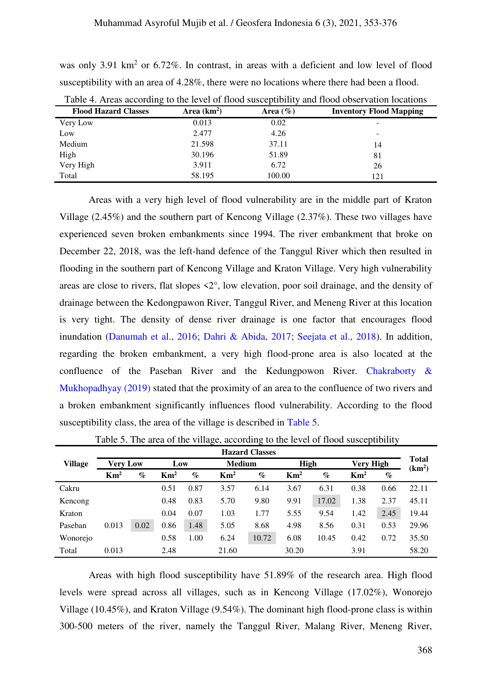was only 3.91 km<sup>2</sup> or 6.72%. In contrast, in areas with a deficient and low level of flood susceptibility with an area of 4.28%, there were no locations where there had been a flood.

| Twore it fire according to the fever of flood susceptionity and flood observation focultons |              |              |                                |  |  |  |  |  |  |
|---------------------------------------------------------------------------------------------|--------------|--------------|--------------------------------|--|--|--|--|--|--|
| <b>Flood Hazard Classes</b>                                                                 | Area $(km2)$ | Area $(\% )$ | <b>Inventory Flood Mapping</b> |  |  |  |  |  |  |
| Very Low                                                                                    | 0.013        | 0.02         |                                |  |  |  |  |  |  |
| Low                                                                                         | 2.477        | 4.26         | -                              |  |  |  |  |  |  |
| Medium                                                                                      | 21.598       | 37.11        | 14                             |  |  |  |  |  |  |
| High                                                                                        | 30.196       | 51.89        | 81                             |  |  |  |  |  |  |
| Very High                                                                                   | 3.911        | 6.72         | 26                             |  |  |  |  |  |  |
| Total                                                                                       | 58.195       | 100.00       | 121                            |  |  |  |  |  |  |

<span id="page-15-0"></span>Table 4. Areas according to the level of flood susceptibility and flood observation locations

Areas with a very high level of flood vulnerability are in the middle part of Kraton Village (2.45%) and the southern part of Kencong Village (2.37%). These two villages have experienced seven broken embankments since 1994. The river embankment that broke on December 22, 2018, was the left-hand defence of the Tanggul River which then resulted in flooding in the southern part of Kencong Village and Kraton Village. Very high vulnerability areas are close to rivers, flat slopes <2°, low elevation, poor soil drainage, and the density of drainage between the Kedongpawon River, Tanggul River, and Meneng River at this location is very tight. The density of dense river drainage is one factor that encourages flood inundation [\(Danumah et al., 2016;](#page-19-4) [Dahri & Abida, 2017;](#page-19-3) [Seejata et al., 2018\).](#page-22-9) In addition, regarding the broken embankment, a very high flood-prone area is also located at the confluence of the Paseban River and the Kedungpowon River. [Chakraborty &](#page-19-2)  Mukhopadhyay (2019) stated that the proximity of an area to the confluence of two rivers and a broken embankment significantly influences flood vulnerability. According to the flood susceptibility class, the area of the village is described in [Table 5.](#page-15-1)

<span id="page-15-1"></span>

|                | <b>Hazard Classes</b> |          |                 |      |                 |               |                 |             |                 |                  | <b>Total</b>       |
|----------------|-----------------------|----------|-----------------|------|-----------------|---------------|-----------------|-------------|-----------------|------------------|--------------------|
| <b>Village</b> |                       | Verv Low |                 | Low  |                 | <b>Medium</b> |                 | <b>High</b> |                 | <b>Very High</b> |                    |
|                | $\mathrm{Km}^2$       | $\%$     | $\mathbf{Km}^2$ | $\%$ | $\mathrm{Km}^2$ | $\%$          | $\mathrm{Km}^2$ | $\%$        | $\mathrm{Km}^2$ | $\%$             | (km <sup>2</sup> ) |
| Cakru          |                       |          | 0.51            | 0.87 | 3.57            | 6.14          | 3.67            | 6.31        | 0.38            | 0.66             | 22.11              |
| Kencong        |                       |          | 0.48            | 0.83 | 5.70            | 9.80          | 9.91            | 17.02       | 1.38            | 2.37             | 45.11              |
| Kraton         |                       |          | 0.04            | 0.07 | 1.03            | 1.77          | 5.55            | 9.54        | 1.42            | 2.45             | 19.44              |
| Paseban        | 0.013                 | 0.02     | 0.86            | 1.48 | 5.05            | 8.68          | 4.98            | 8.56        | 0.31            | 0.53             | 29.96              |
| Wonorejo       |                       |          | 0.58            | 1.00 | 6.24            | 10.72         | 6.08            | 10.45       | 0.42            | 0.72             | 35.50              |
| Total          | 0.013                 |          | 2.48            |      | 21.60           |               | 30.20           |             | 3.91            |                  | 58.20              |

Table 5. The area of the village, according to the level of flood susceptibility

Areas with high flood susceptibility have 51.89% of the research area. High flood levels were spread across all villages, such as in Kencong Village (17.02%), Wonorejo Village (10.45%), and Kraton Village (9.54%). The dominant high flood-prone class is within 300-500 meters of the river, namely the Tanggul River, Malang River, Meneng River,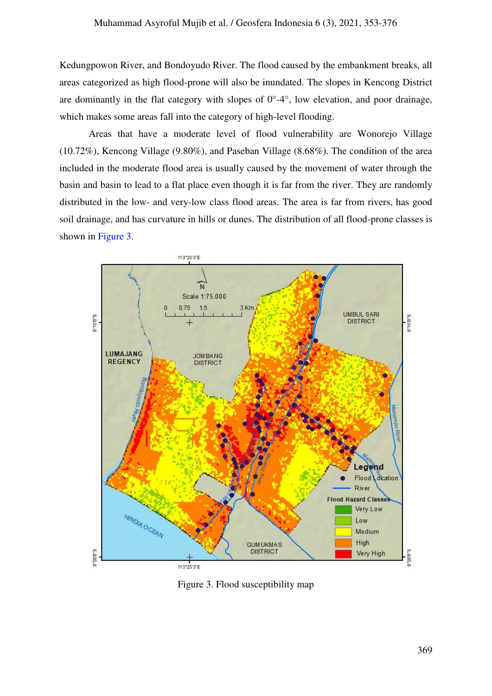Kedungpowon River, and Bondoyudo River. The flood caused by the embankment breaks, all areas categorized as high flood-prone will also be inundated. The slopes in Kencong District are dominantly in the flat category with slopes of  $0^{\circ}$ -4 $^{\circ}$ , low elevation, and poor drainage, which makes some areas fall into the category of high-level flooding.

Areas that have a moderate level of flood vulnerability are Wonorejo Village (10.72%), Kencong Village (9.80%), and Paseban Village (8.68%). The condition of the area included in the moderate flood area is usually caused by the movement of water through the basin and basin to lead to a flat place even though it is far from the river. They are randomly distributed in the low- and very-low class flood areas. The area is far from rivers, has good soil drainage, and has curvature in hills or dunes. The distribution of all flood-prone classes is shown in [Figure 3.](#page-16-0)



<span id="page-16-0"></span>Figure 3. Flood susceptibility map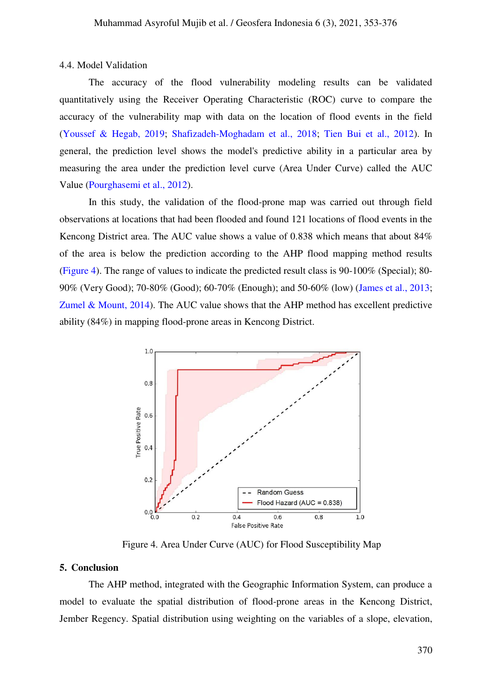4.4. Model Validation

The accuracy of the flood vulnerability modeling results can be validated quantitatively using the Receiver Operating Characteristic (ROC) curve to compare the accuracy of the vulnerability map with data on the location of flood events in the field [\(Youssef & Hegab, 2019;](#page-23-2) [Shafizadeh-Moghadam et al., 2018;](#page-22-3) [Tien Bui et al., 2012\)](#page-22-6). In general, the prediction level shows the model's predictive ability in a particular area by measuring the area under the prediction level curve (Area Under Curve) called the AUC Value [\(Pourghasemi et al., 2012\)](#page-21-7).

In this study, the validation of the flood-prone map was carried out through field observations at locations that had been flooded and found 121 locations of flood events in the Kencong District area. The AUC value shows a value of 0.838 which means that about 84% of the area is below the prediction according to the AHP flood mapping method results [\(Figure 4\)](#page-17-0). The range of values to indicate the predicted result class is 90-100% (Special); 80- 90% (Very Good); 70-80% (Good); 60-70% (Enough); and 50-60% (low) [\(James et al., 2013;](#page-20-11) Zumel  $& Mount, 2014$ . The AUC value shows that the AHP method has excellent predictive ability (84%) in mapping flood-prone areas in Kencong District.



Figure 4. Area Under Curve (AUC) for Flood Susceptibility Map

## <span id="page-17-0"></span>**5. Conclusion**

The AHP method, integrated with the Geographic Information System, can produce a model to evaluate the spatial distribution of flood-prone areas in the Kencong District, Jember Regency. Spatial distribution using weighting on the variables of a slope, elevation,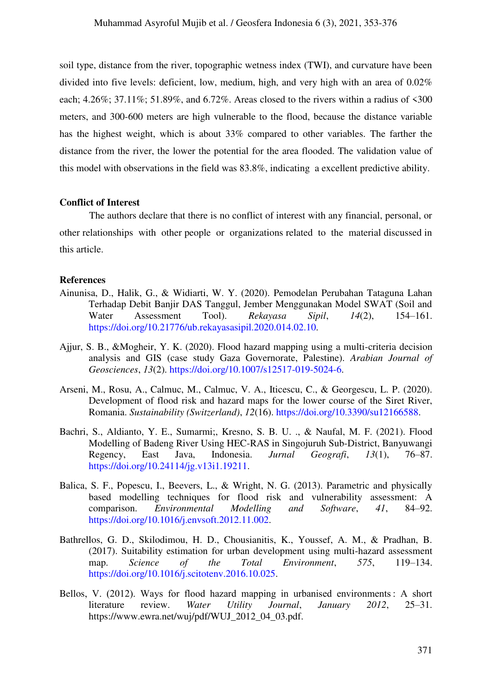soil type, distance from the river, topographic wetness index (TWI), and curvature have been divided into five levels: deficient, low, medium, high, and very high with an area of 0.02% each; 4.26%; 37.11%; 51.89%, and 6.72%. Areas closed to the rivers within a radius of <300 meters, and 300-600 meters are high vulnerable to the flood, because the distance variable has the highest weight, which is about 33% compared to other variables. The farther the distance from the river, the lower the potential for the area flooded. The validation value of this model with observations in the field was 83.8%, indicating a excellent predictive ability.

#### **Conflict of Interest**

The authors declare that there is no conflict of interest with any financial, personal, or other relationships with other people or organizations related to the material discussed in this article.

## **References**

- <span id="page-18-0"></span>Ainunisa, D., Halik, G., & Widiarti, W. Y. (2020). Pemodelan Perubahan Tataguna Lahan Terhadap Debit Banjir DAS Tanggul, Jember Menggunakan Model SWAT (Soil and Water Assessment Tool). *Rekayasa Sipil*, *14*(2), 154–161. [https://doi.org/10.21776/ub.rekayasasipil.2020.014.02.10.](https://rekayasasipil.ub.ac.id/index.php/rs/article/view/652)
- <span id="page-18-4"></span>Ajjur, S. B., &Mogheir, Y. K. (2020). Flood hazard mapping using a multi-criteria decision analysis and GIS (case study Gaza Governorate, Palestine). *Arabian Journal of Geosciences*, *13*(2). [https://doi.org/10.1007/s12517-019-5024-6.](https://link.springer.com/article/10.1007%2Fs12517-019-5024-6)
- <span id="page-18-5"></span>Arseni, M., Rosu, A., Calmuc, M., Calmuc, V. A., Iticescu, C., & Georgescu, L. P. (2020). Development of flood risk and hazard maps for the lower course of the Siret River, Romania. *Sustainability (Switzerland)*, *12*(16). [https://doi.org/10.3390/su12166588.](https://www.mdpi.com/2071-1050/12/16/6588)
- <span id="page-18-3"></span>Bachri, S., Aldianto, Y. E., Sumarmi;, Kresno, S. B. U. ., & Naufal, M. F. (2021). Flood Modelling of Badeng River Using HEC-RAS in Singojuruh Sub-District, Banyuwangi Regency, East Java, Indonesia. *Jurnal Geografi*, *13*(1), 76–87. [https://doi.org/10.24114/jg.v13i1.19211.](https://jurnal.unimed.ac.id/2012/index.php/geo/article/view/19211)
- <span id="page-18-2"></span>Balica, S. F., Popescu, I., Beevers, L., & Wright, N. G. (2013). Parametric and physically based modelling techniques for flood risk and vulnerability assessment: A comparison. *Environmental Modelling and Software*, *41*, 84–92. [https://doi.org/10.1016/j.envsoft.2012.11.002.](https://www.sciencedirect.com/science/article/abs/pii/S1364815212002733?via%3Dihub)
- <span id="page-18-6"></span>Bathrellos, G. D., Skilodimou, H. D., Chousianitis, K., Youssef, A. M., & Pradhan, B. (2017). Suitability estimation for urban development using multi-hazard assessment map. *Science of the Total Environment*, *575*, 119–134. [https://doi.org/10.1016/j.scitotenv.2016.10.025.](https://www.sciencedirect.com/science/article/abs/pii/S0048969716321891?via%3Dihub)
- <span id="page-18-1"></span>Bellos, V. (2012). Ways for flood hazard mapping in urbanised environments : A short literature review. *Water Utility Journal*, *January 2012*, 25–31. https://www.ewra.net/wuj/pdf/WUJ\_2012\_04\_03.pdf.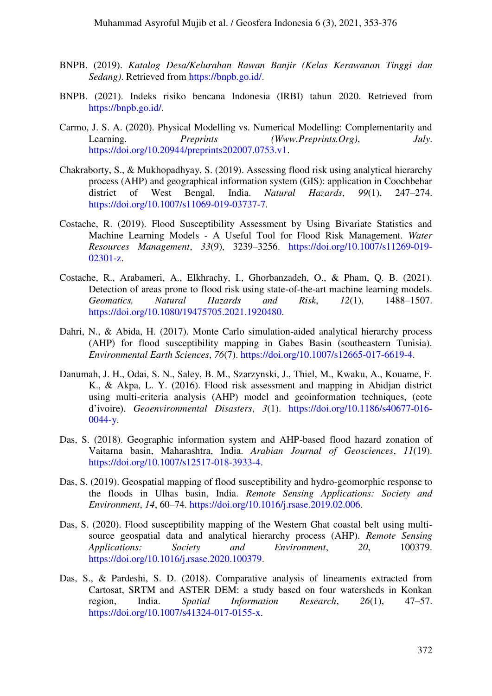- <span id="page-19-0"></span>BNPB. (2019). *Katalog Desa/Kelurahan Rawan Banjir (Kelas Kerawanan Tinggi dan Sedang)*. Retrieved from [https://bnpb.go.id/.](https://bnpb.go.id/)
- <span id="page-19-1"></span>BNPB. (2021). Indeks risiko bencana Indonesia (IRBI) tahun 2020. Retrieved from [https://bnpb.go.id/.](https://bnpb.go.id/)
- Carmo, J. S. A. (2020). Physical Modelling vs. Numerical Modelling: Complementarity and Learning. *Preprints (Www.Preprints.Org)*, *July*. [https://doi.org/10.20944/preprints202007.0753.v1.](https://www.preprints.org/manuscript/202007.0753/v1)
- <span id="page-19-2"></span>Chakraborty, S., & Mukhopadhyay, S. (2019). Assessing flood risk using analytical hierarchy process (AHP) and geographical information system (GIS): application in Coochbehar district of West Bengal, India. *Natural Hazards*, *99*(1), 247–274[.](https://link.springer.com/article/10.1007%2Fs11069-019-03737-7) [https://doi.org/10.1007/s11069-019-03737-7.](https://link.springer.com/article/10.1007%2Fs11069-019-03737-7)
- <span id="page-19-5"></span>Costache, R. (2019). Flood Susceptibility Assessment by Using Bivariate Statistics and Machine Learning Models - A Useful Tool for Flood Risk Management. *Water Resources Management*, *33*(9), 3239–3256. [https://doi.org/10.1007/s11269-019-](https://link.springer.com/article/10.1007%2Fs11269-019-02301-z) [02301-z.](https://link.springer.com/article/10.1007%2Fs11269-019-02301-z)
- Costache, R., Arabameri, A., Elkhrachy, I., Ghorbanzadeh, O., & Pham, Q. B. (2021). Detection of areas prone to flood risk using state-of-the-art machine learning models. *Geomatics, Natural Hazards and Risk*, *12*(1), 1488–1507. [https://doi.org/10.1080/19475705.2021.1920480.](https://www.tandfonline.com/doi/full/10.1080/19475705.2021.1920480)
- <span id="page-19-3"></span>Dahri, N., & Abida, H. (2017). Monte Carlo simulation-aided analytical hierarchy process (AHP) for flood susceptibility mapping in Gabes Basin (southeastern Tunisia). *Environmental Earth Sciences*, *76*(7). [https://doi.org/10.1007/s12665-017-6619-4.](https://link.springer.com/article/10.1007%2Fs12665-017-6619-4)
- <span id="page-19-4"></span>Danumah, J. H., Odai, S. N., Saley, B. M., Szarzynski, J., Thiel, M., Kwaku, A., Kouame, F. K., & Akpa, L. Y. (2016). Flood risk assessment and mapping in Abidjan district using multi-criteria analysis (AHP) model and geoinformation techniques, (cote d'ivoire). *Geoenvironmental Disasters*, *3*(1). [https://doi.org/10.1186/s40677-016-](https://geoenvironmental-disasters.springeropen.com/articles/10.1186/s40677-016-0044-y)  $0044 - y$ .
- <span id="page-19-6"></span>Das, S. (2018). Geographic information system and AHP-based flood hazard zonation of Vaitarna basin, Maharashtra, India. *Arabian Journal of Geosciences*, *11*(19). [https://doi.org/10.1007/s12517-018-3933-4.](https://link.springer.com/article/10.1007%2Fs12517-018-3933-4)
- Das, S. (2019). Geospatial mapping of flood susceptibility and hydro-geomorphic response to the floods in Ulhas basin, India. *Remote Sensing Applications: Society and Environment*, *14*, 60–74. [https://doi.org/10.1016/j.rsase.2019.02.006.](https://www.sciencedirect.com/science/article/abs/pii/S2352938518302921?via%3Dihub)
- Das, S. (2020). Flood susceptibility mapping of the Western Ghat coastal belt using multisource geospatial data and analytical hierarchy process (AHP). *Remote Sensing Applications: Society and Environment*, *20*, 100379. [https://doi.org/10.1016/j.rsase.2020.100379.](https://www.sciencedirect.com/science/article/abs/pii/S2352938520301920?via%3Dihub)
- Das, S., & Pardeshi, S. D. (2018). Comparative analysis of lineaments extracted from Cartosat, SRTM and ASTER DEM: a study based on four watersheds in Konkan region, India. *Spatial Information Research*, *26*(1), 47–57. [https://doi.org/10.1007/s41324-017-0155-x.](https://link.springer.com/article/10.1007%2Fs41324-017-0155-x)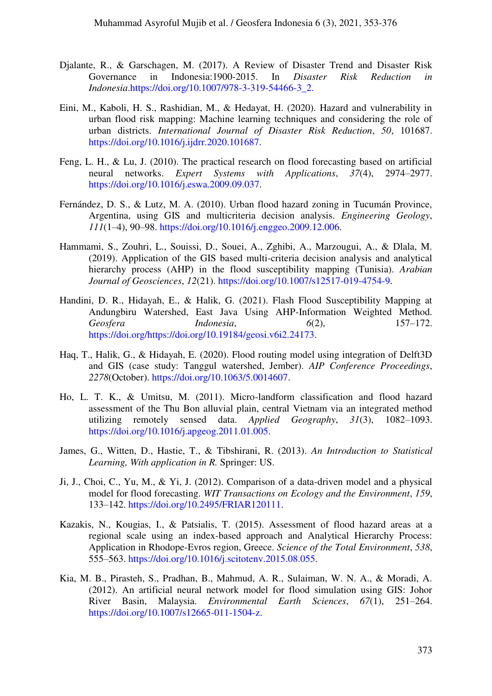- <span id="page-20-2"></span>Djalante, R., & Garschagen, M. (2017). A Review of Disaster Trend and Disaster Risk Governance in Indonesia:1900-2015. In *Disaster Risk Reduction in Indonesia*[.https://doi.org/10.1007/978-3-319-54466-3\\_2.](https://link.springer.com/chapter/10.1007/978-3-319-54466-3_2)
- <span id="page-20-7"></span>Eini, M., Kaboli, H. S., Rashidian, M., & Hedayat, H. (2020). Hazard and vulnerability in urban flood risk mapping: Machine learning techniques and considering the role of urban districts. *International Journal of Disaster Risk Reduction*, *50*, 101687. [https://doi.org/10.1016/j.ijdrr.2020.101687.](https://www.sciencedirect.com/science/article/abs/pii/S2212420920303484?via%3Dihub)
- <span id="page-20-1"></span>Feng, L. H., & Lu, J. (2010). The practical research on flood forecasting based on artificial neural networks. *Expert Systems with Applications*, *37*(4), 2974–2977. [https://doi.org/10.1016/j.eswa.2009.09.037.](https://www.sciencedirect.com/science/article/abs/pii/S0957417409008185?via%3Dihub)
- <span id="page-20-10"></span>Fernández, D. S., & Lutz, M. A. (2010). Urban flood hazard zoning in Tucumán Province, Argentina, using GIS and multicriteria decision analysis. *Engineering Geology*, *111*(1–4), 90–98. [https://doi.org/10.1016/j.enggeo.2009.12.006.](https://www.sciencedirect.com/science/article/abs/pii/S001379520900310X?via%3Dihub)
- <span id="page-20-9"></span>Hammami, S., Zouhri, L., Souissi, D., Souei, A., Zghibi, A., Marzougui, A., & Dlala, M. (2019). Application of the GIS based multi-criteria decision analysis and analytical hierarchy process (AHP) in the flood susceptibility mapping (Tunisia). *Arabian Journal of Geosciences*, *12*(21). [https://doi.org/10.1007/s12517-019-4754-9.](https://link.springer.com/article/10.1007%2Fs12517-019-4754-9)
- <span id="page-20-5"></span>Handini, D. R., Hidayah, E., & Halik, G. (2021). Flash Flood Susceptibility Mapping at Andungbiru Watershed, East Java Using AHP-Information Weighted Method. *Geosfera Indonesia*, *6*(2), 157–172. [https://doi.org/https://doi.org/10.19184/geosi.v6i2.24173.](https://jurnal.unej.ac.id/index.php/GEOSI/article/view/24173)
- <span id="page-20-3"></span>Haq, T., Halik, G., & Hidayah, E. (2020). Flood routing model using integration of Delft3D and GIS (case study: Tanggul watershed, Jember). *AIP Conference Proceedings*, *2278*(October). [https://doi.org/10.1063/5.0014607.](https://aip.scitation.org/doi/abs/10.1063/5.0014607)
- <span id="page-20-8"></span>Ho, L. T. K., & Umitsu, M. (2011). Micro-landform classification and flood hazard assessment of the Thu Bon alluvial plain, central Vietnam via an integrated method utilizing remotely sensed data. *Applied Geography*, *31*(3), 1082–1093. [https://doi.org/10.1016/j.apgeog.2011.01.005.](https://www.sciencedirect.com/science/article/abs/pii/S0143622811000063?via%3Dihub)
- <span id="page-20-11"></span>James, G., Witten, D., Hastie, T., & Tibshirani, R. (2013). *An Introduction to Statistical Learning, With application in R.* Springer: US.
- <span id="page-20-4"></span>Ji, J., Choi, C., Yu, M., & Yi, J. (2012). Comparison of a data-driven model and a physical model for flood forecasting. *WIT Transactions on Ecology and the Environment*, *159*, 133–142. [https://doi.org/10.2495/FRIAR120111.](https://www.witpress.com/elibrary/wit-transactions-on-ecology-and-the-environment/159/23357)
- <span id="page-20-6"></span>Kazakis, N., Kougias, I., & Patsialis, T. (2015). Assessment of flood hazard areas at a regional scale using an index-based approach and Analytical Hierarchy Process: Application in Rhodope-Evros region, Greece. *Science of the Total Environment*, *538*, 555–563. [https://doi.org/10.1016/j.scitotenv.2015.08.055.](https://www.sciencedirect.com/science/article/pii/S0048969715305581?via%3Dihub)
- <span id="page-20-0"></span>Kia, M. B., Pirasteh, S., Pradhan, B., Mahmud, A. R., Sulaiman, W. N. A., & Moradi, A. (2012). An artificial neural network model for flood simulation using GIS: Johor River Basin, Malaysia. *Environmental Earth Sciences*, *67*(1), 251–264. [https://doi.org/10.1007/s12665-011-1504-z.](https://link.springer.com/article/10.1007%2Fs12665-011-1504-z)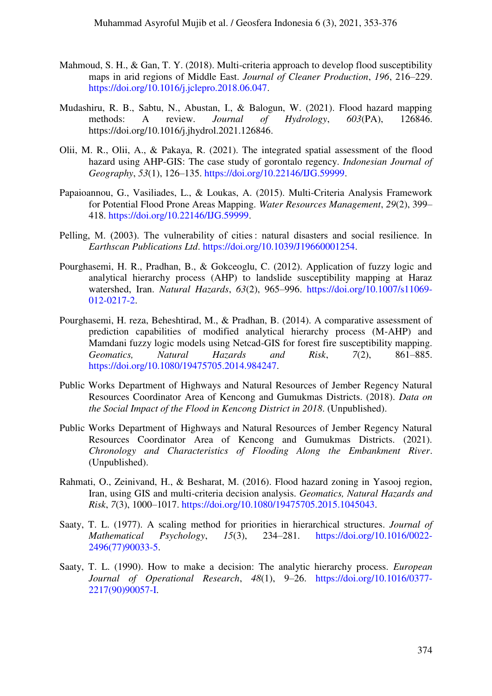- <span id="page-21-4"></span>Mahmoud, S. H., & Gan, T. Y. (2018). Multi-criteria approach to develop flood susceptibility maps in arid regions of Middle East. *Journal of Cleaner Production*, *196*, 216–229. [https://doi.org/10.1016/j.jclepro.2018.06.047.](https://www.sciencedirect.com/science/article/abs/pii/S0959652618316974?via%3Dihub)
- <span id="page-21-3"></span>Mudashiru, R. B., Sabtu, N., Abustan, I., & Balogun, W. (2021). Flood hazard mapping methods: A review. *Journal of Hydrology*, *603*(PA), 126846. https://doi.org/10.1016/j.jhydrol.2021.126846.
- <span id="page-21-9"></span>Olii, M. R., Olii, A., & Pakaya, R. (2021). The integrated spatial assessment of the flood hazard using AHP-GIS: The case study of gorontalo regency. *Indonesian Journal of Geography*, *53*(1), 126–135. [https://doi.org/10.22146/IJG.59999.](https://jurnal.ugm.ac.id/ijg/article/view/59999)
- <span id="page-21-8"></span>Papaioannou, G., Vasiliades, L., & Loukas, A. (2015). Multi-Criteria Analysis Framework for Potential Flood Prone Areas Mapping. *Water Resources Management*, *29*(2), 399– 418. [https://doi.org/10.22146/IJG.59999.](https://link.springer.com/article/10.1007%2Fs11269-014-0817-6)
- <span id="page-21-0"></span>Pelling, M. (2003). The vulnerability of cities : natural disasters and social resilience. In *Earthscan Publications Ltd*. [https://doi.org/10.1039/J19660001254.](https://pubs.rsc.org/en/content/articlelanding/1966/J1/j19660001254)
- <span id="page-21-7"></span>Pourghasemi, H. R., Pradhan, B., & Gokceoglu, C. (2012). Application of fuzzy logic and analytical hierarchy process (AHP) to landslide susceptibility mapping at Haraz watershed, Iran. *Natural Hazards*, *63*(2), 965–996. [https://doi.org/10.1007/s11069-](https://link.springer.com/article/10.1007%2Fs11069-012-0217-2) [012-0217-2.](https://link.springer.com/article/10.1007%2Fs11069-012-0217-2)
- Pourghasemi, H. reza, Beheshtirad, M., & Pradhan, B. (2014). A comparative assessment of prediction capabilities of modified analytical hierarchy process (M-AHP) and Mamdani fuzzy logic models using Netcad-GIS for forest fire susceptibility mapping. *Geomatics, Natural Hazards and Risk*, *7*(2), 861–885. [https://doi.org/10.1080/19475705.2014.984247.](https://www.tandfonline.com/doi/full/10.1080/19475705.2014.984247)
- <span id="page-21-1"></span>Public Works Department of Highways and Natural Resources of Jember Regency Natural Resources Coordinator Area of Kencong and Gumukmas Districts. (2018). *Data on the Social Impact of the Flood in Kencong District in 2018*. (Unpublished).
- <span id="page-21-2"></span>Public Works Department of Highways and Natural Resources of Jember Regency Natural Resources Coordinator Area of Kencong and Gumukmas Districts. (2021). *Chronology and Characteristics of Flooding Along the Embankment River*. (Unpublished).
- <span id="page-21-6"></span>Rahmati, O., Zeinivand, H., & Besharat, M. (2016). Flood hazard zoning in Yasooj region, Iran, using GIS and multi-criteria decision analysis. *Geomatics, Natural Hazards and Risk*, *7*(3), 1000–1017. [https://doi.org/10.1080/19475705.2015.1045043.](https://www.tandfonline.com/doi/full/10.1080/19475705.2015.1045043)
- <span id="page-21-5"></span>Saaty, T. L. (1977). A scaling method for priorities in hierarchical structures. *Journal of Mathematical Psychology*, *15*(3), 234–281. [https://doi.org/10.1016/0022-](https://www.sciencedirect.com/science/article/abs/pii/0022249677900335?via%3Dihub) [2496\(77\)90033-5.](https://www.sciencedirect.com/science/article/abs/pii/0022249677900335?via%3Dihub)
- Saaty, T. L. (1990). How to make a decision: The analytic hierarchy process. *European Journal of Operational Research*, *48*(1), 9–26. [https://doi.org/10.1016/0377-](https://www.sciencedirect.com/science/article/abs/pii/037722179090057I?via%3Dihub) [2217\(90\)90057-I.](https://www.sciencedirect.com/science/article/abs/pii/037722179090057I?via%3Dihub)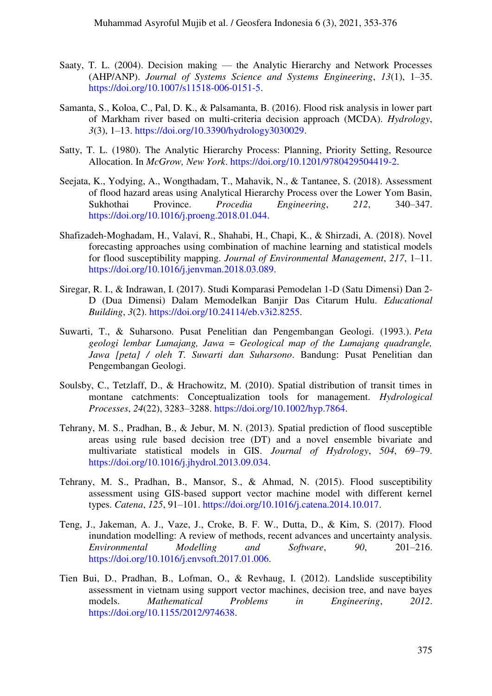- Saaty, T. L. (2004). Decision making the Analytic Hierarchy and Network Processes (AHP/ANP). *Journal of Systems Science and Systems Engineering*, *13*(1), 1–35. [https://doi.org/10.1007/s11518-006-0151-5.](https://link.springer.com/article/10.1007%2Fs11518-006-0151-5)
- <span id="page-22-8"></span>Samanta, S., Koloa, C., Pal, D. K., & Palsamanta, B. (2016). Flood risk analysis in lower part of Markham river based on multi-criteria decision approach (MCDA). *Hydrology*, *3*(3), 1–13. [https://doi.org/10.3390/hydrology3030029.](https://www.mdpi.com/2306-5338/3/3/29)
- <span id="page-22-4"></span>Satty, T. L. (1980). The Analytic Hierarchy Process: Planning, Priority Setting, Resource Allocation. In *McGrow, New York*. [https://doi.org/10.1201/9780429504419-2.](https://www.taylorfrancis.com/chapters/mono/10.1201/9780429504419-2/analytic-hierarchy-process-anindya-ghosh-prithwiraj-mal-abhijit-majumdar)
- <span id="page-22-9"></span>Seejata, K., Yodying, A., Wongthadam, T., Mahavik, N., & Tantanee, S. (2018). Assessment of flood hazard areas using Analytical Hierarchy Process over the Lower Yom Basin, Sukhothai Province. *Procedia Engineering*, *212*, 340–347. [https://doi.org/10.1016/j.proeng.2018.01.044.](https://www.sciencedirect.com/science/article/pii/S1877705818300572?via%3Dihub)
- <span id="page-22-3"></span>Shafizadeh-Moghadam, H., Valavi, R., Shahabi, H., Chapi, K., & Shirzadi, A. (2018). Novel forecasting approaches using combination of machine learning and statistical models for flood susceptibility mapping. *Journal of Environmental Management*, *217*, 1–11. [https://doi.org/10.1016/j.jenvman.2018.03.089.](https://www.sciencedirect.com/science/article/pii/S0301479718303220?via%3Dihub)
- <span id="page-22-2"></span>Siregar, R. I., & Indrawan, I. (2017). Studi Komparasi Pemodelan 1-D (Satu Dimensi) Dan 2- D (Dua Dimensi) Dalam Memodelkan Banjir Das Citarum Hulu. *Educational Building*, *3*(2). [https://doi.org/10.24114/eb.v3i2.8255.](https://jurnal.unimed.ac.id/2012/index.php/eb/article/view/8255)
- <span id="page-22-5"></span>Suwarti, T., & Suharsono. Pusat Penelitian dan Pengembangan Geologi. (1993.). *Peta geologi lembar Lumajang, Jawa = Geological map of the Lumajang quadrangle, Jawa [peta] / oleh T. Suwarti dan Suharsono*. Bandung: Pusat Penelitian dan Pengembangan Geologi.
- <span id="page-22-7"></span>Soulsby, C., Tetzlaff, D., & Hrachowitz, M. (2010). Spatial distribution of transit times in montane catchments: Conceptualization tools for management. *Hydrological Processes*, *24*(22), 3283–3288. [https://doi.org/10.1002/hyp.7864.](https://onlinelibrary.wiley.com/doi/10.1002/hyp.7864)
- <span id="page-22-0"></span>Tehrany, M. S., Pradhan, B., & Jebur, M. N. (2013). Spatial prediction of flood susceptible areas using rule based decision tree (DT) and a novel ensemble bivariate and multivariate statistical models in GIS. *Journal of Hydrology*, *504*, 69–79. [https://doi.org/10.1016/j.jhydrol.2013.09.034.](https://www.sciencedirect.com/science/article/abs/pii/S0022169413006872?via%3Dihub)
- Tehrany, M. S., Pradhan, B., Mansor, S., & Ahmad, N. (2015). Flood susceptibility assessment using GIS-based support vector machine model with different kernel types. *Catena*, *125*, 91–101. [https://doi.org/10.1016/j.catena.2014.10.017.](https://www.sciencedirect.com/science/article/abs/pii/S034181621400294X?via%3Dihub)
- <span id="page-22-1"></span>Teng, J., Jakeman, A. J., Vaze, J., Croke, B. F. W., Dutta, D., & Kim, S. (2017). Flood inundation modelling: A review of methods, recent advances and uncertainty analysis. *Environmental Modelling and Software*, *90*, 201–216. [https://doi.org/10.1016/j.envsoft.2017.01.006.](https://www.sciencedirect.com/science/article/abs/pii/S1364815216310040?via%3Dihub)
- <span id="page-22-6"></span>Tien Bui, D., Pradhan, B., Lofman, O., & Revhaug, I. (2012). Landslide susceptibility assessment in vietnam using support vector machines, decision tree, and nave bayes models. *Mathematical Problems in Engineering*, *2012*. [https://doi.org/10.1155/2012/974638.](https://www.hindawi.com/journals/mpe/2012/974638/)